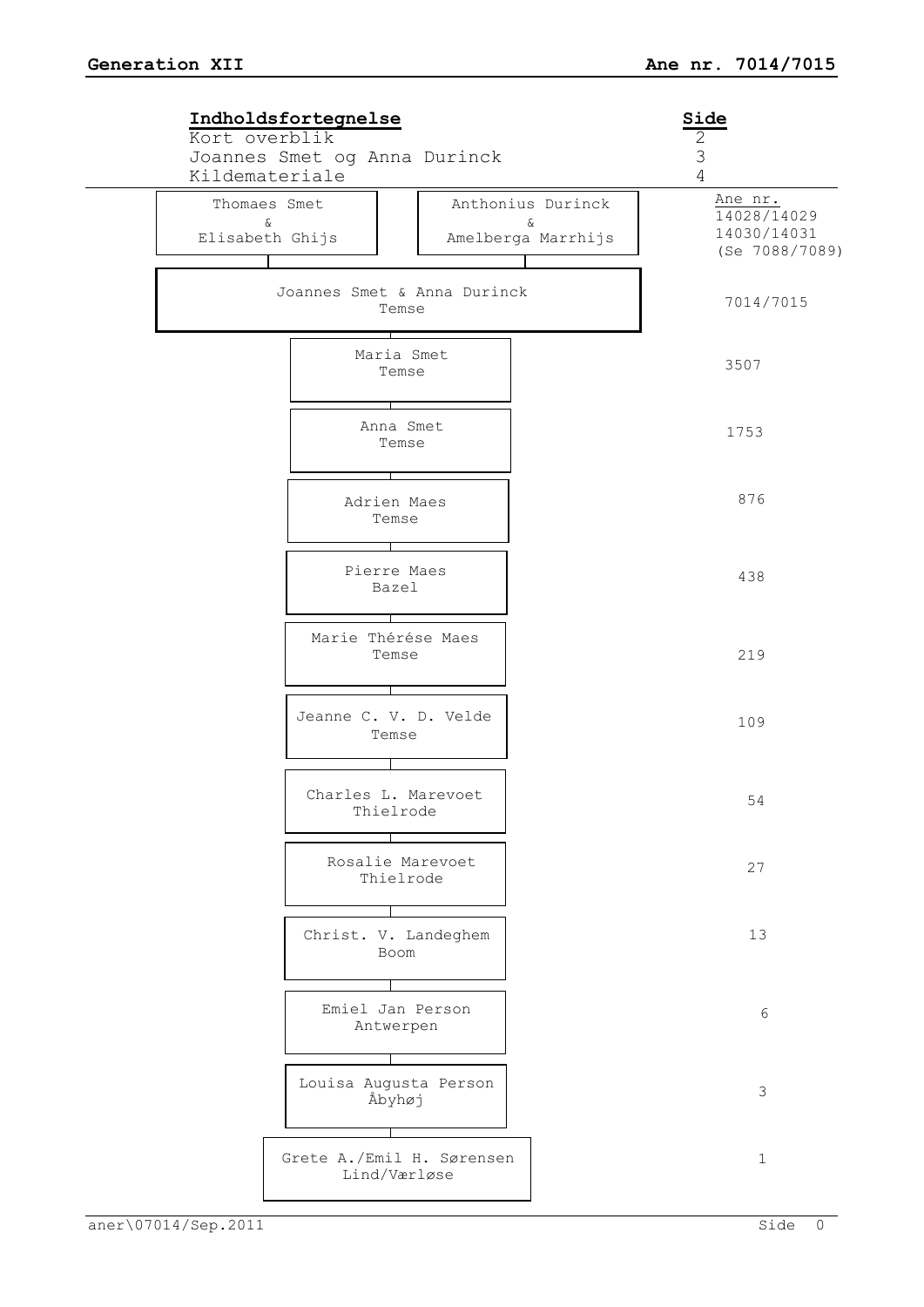| Indholdsfortegnelse                                             | Side                                      |                               |
|-----------------------------------------------------------------|-------------------------------------------|-------------------------------|
| Kort overblik<br>Joannes Smet og Anna Durinck<br>Kildemateriale | 2<br>$\mathfrak{Z}$<br>$\overline{4}$     |                               |
| Thomaes Smet                                                    | Anthonius Durinck                         | Ane nr.<br>14028/14029        |
| &<br>Elisabeth Ghijs                                            | &<br>Amelberga Marrhijs                   | 14030/14031<br>(Se 7088/7089) |
|                                                                 | Joannes Smet & Anna Durinck               |                               |
|                                                                 | Temse                                     | 7014/7015                     |
|                                                                 | Maria Smet<br>Temse                       | 3507                          |
|                                                                 | Anna Smet<br>Temse                        | 1753                          |
|                                                                 | Adrien Maes<br>Temse                      | 876                           |
|                                                                 | Pierre Maes<br>Bazel                      | 438                           |
|                                                                 | Marie Thérése Maes<br>Temse               | 219                           |
|                                                                 | Jeanne C. V. D. Velde<br>Temse            | 109                           |
|                                                                 | Charles L. Marevoet<br>Thielrode          | 54                            |
|                                                                 | Rosalie Marevoet<br>Thielrode             | 27                            |
|                                                                 | Christ. V. Landeghem<br>Boom              | 13                            |
|                                                                 | Emiel Jan Person<br>Antwerpen             | 6                             |
|                                                                 | Louisa Augusta Person<br>Åbyhøj           | 3                             |
|                                                                 | Grete A./Emil H. Sørensen<br>Lind/Værløse | $\mathbf{1}$                  |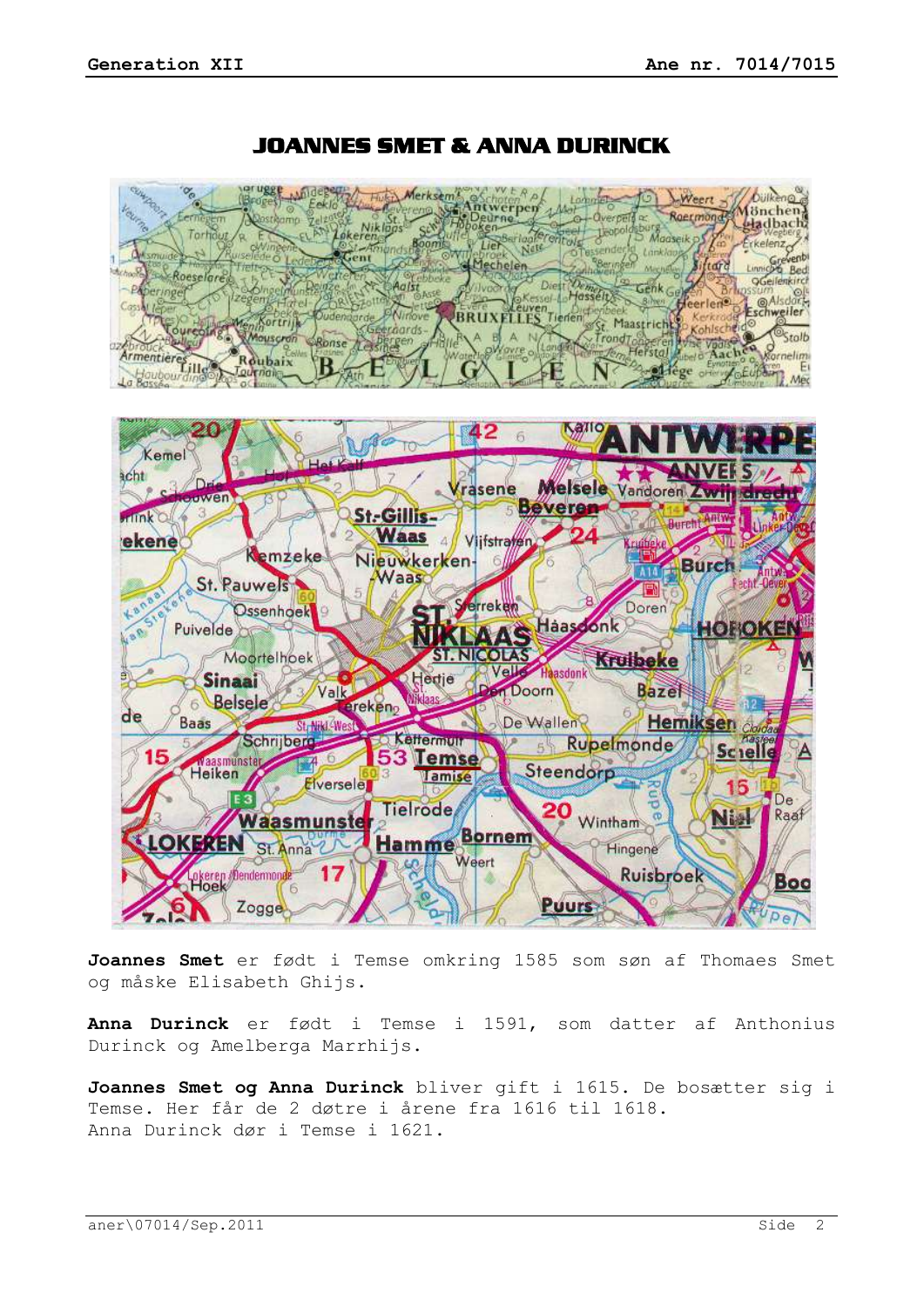

# JOANNES SMET & ANNA DURINCK

**Joannes Smet** er født i Temse omkring 1585 som søn af Thomaes Smet og måske Elisabeth Ghijs.

**Anna Durinck** er født i Temse i 1591, som datter af Anthonius Durinck og Amelberga Marrhijs.

**Joannes Smet og Anna Durinck** bliver gift i 1615. De bosætter sig i Temse. Her får de 2 døtre i årene fra 1616 til 1618. Anna Durinck dør i Temse i 1621.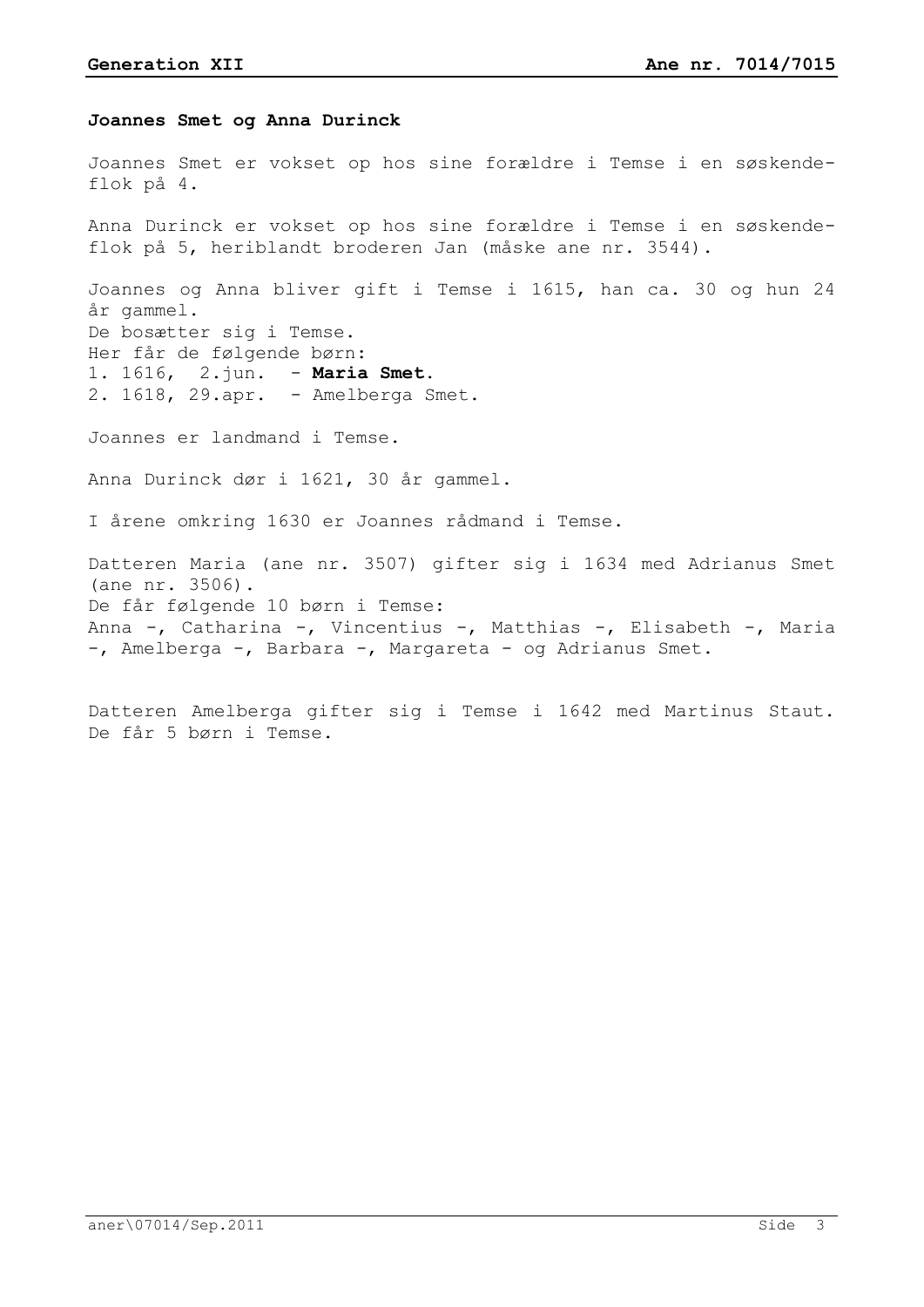### **Joannes Smet og Anna Durinck**

Joannes Smet er vokset op hos sine forældre i Temse i en søskendeflok på 4.

Anna Durinck er vokset op hos sine forældre i Temse i en søskendeflok på 5, heriblandt broderen Jan (måske ane nr. 3544).

Joannes og Anna bliver gift i Temse i 1615, han ca. 30 og hun 24 år gammel. De bosætter sig i Temse. Her får de følgende børn: 1. 1616, 2.jun. - **Maria Smet**. 2. 1618, 29.apr. - Amelberga Smet.

Joannes er landmand i Temse.

Anna Durinck dør i 1621, 30 år gammel.

I årene omkring 1630 er Joannes rådmand i Temse.

Datteren Maria (ane nr. 3507) gifter sig i 1634 med Adrianus Smet (ane nr. 3506). De får følgende 10 børn i Temse: Anna -, Catharina -, Vincentius -, Matthias -, Elisabeth -, Maria -, Amelberga -, Barbara -, Margareta - og Adrianus Smet.

Datteren Amelberga gifter sig i Temse i 1642 med Martinus Staut. De får 5 børn i Temse.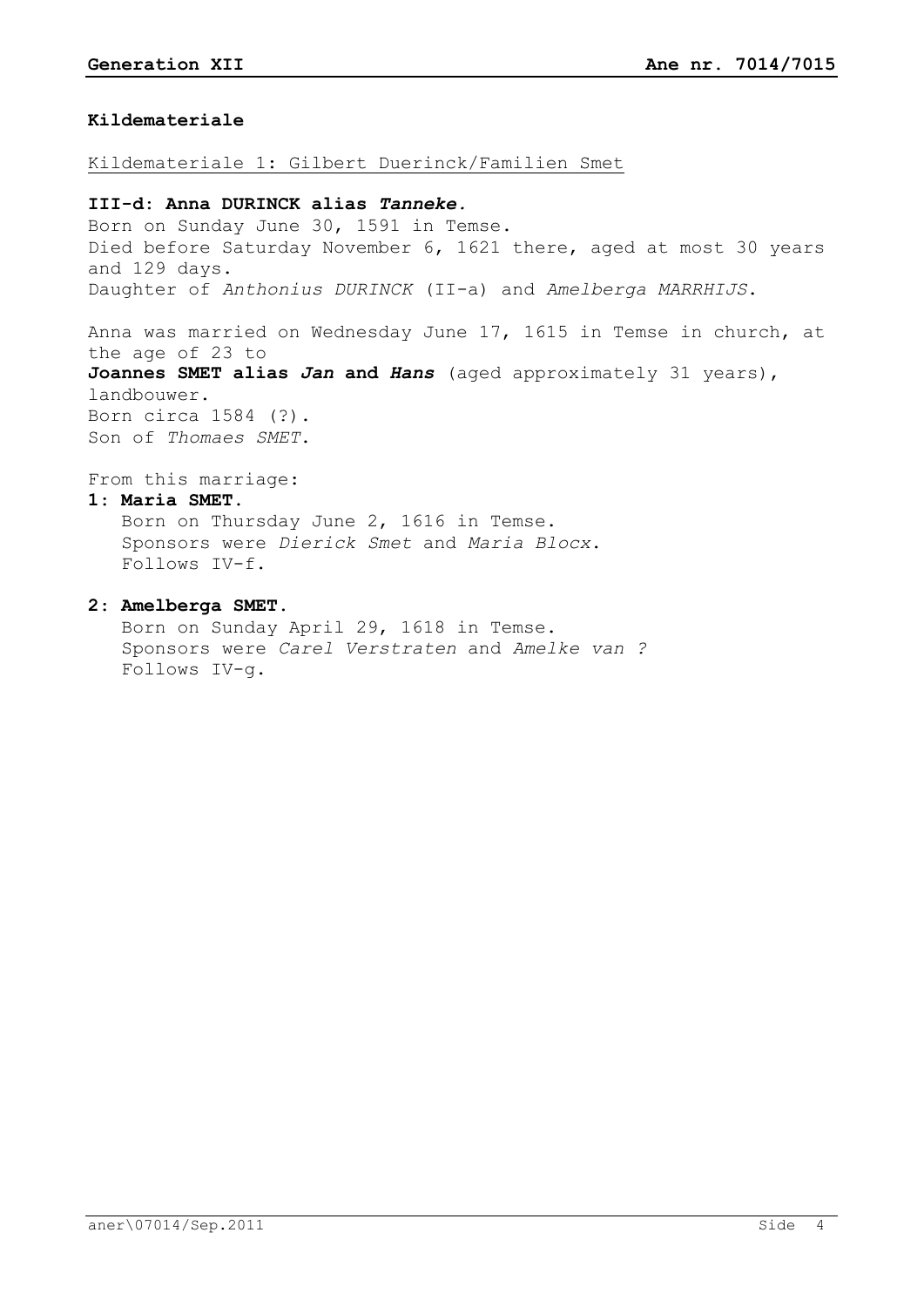# **Kildemateriale**

# Kildemateriale 1: Gilbert Duerinck/Familien Smet

## **III-d**: **Anna DURINCK alias** *Tanneke.*

Born on Sunday June 30, 1591 in Temse. Died before Saturday November 6, 1621 there, aged at most 30 years and 129 days. Daughter of *Anthonius DURINCK* (II-a) and *Amelberga MARRHIJS*.

Anna was married on Wednesday June 17, 1615 in Temse in church, at the age of 23 to **Joannes SMET alias** *Jan* **and** *Hans* (aged approximately 31 years), landbouwer. Born circa 1584 (?). Son of *Thomaes SMET*.

From this marriage:

# **1**: **Maria SMET**.

 Born on Thursday June 2, 1616 in Temse. Sponsors were *Dierick Smet* and *Maria Blocx*. Follows IV-f.

## **2**: **Amelberga SMET**.

 Born on Sunday April 29, 1618 in Temse. Sponsors were *Carel Verstraten* and *Amelke van ?* Follows IV-g.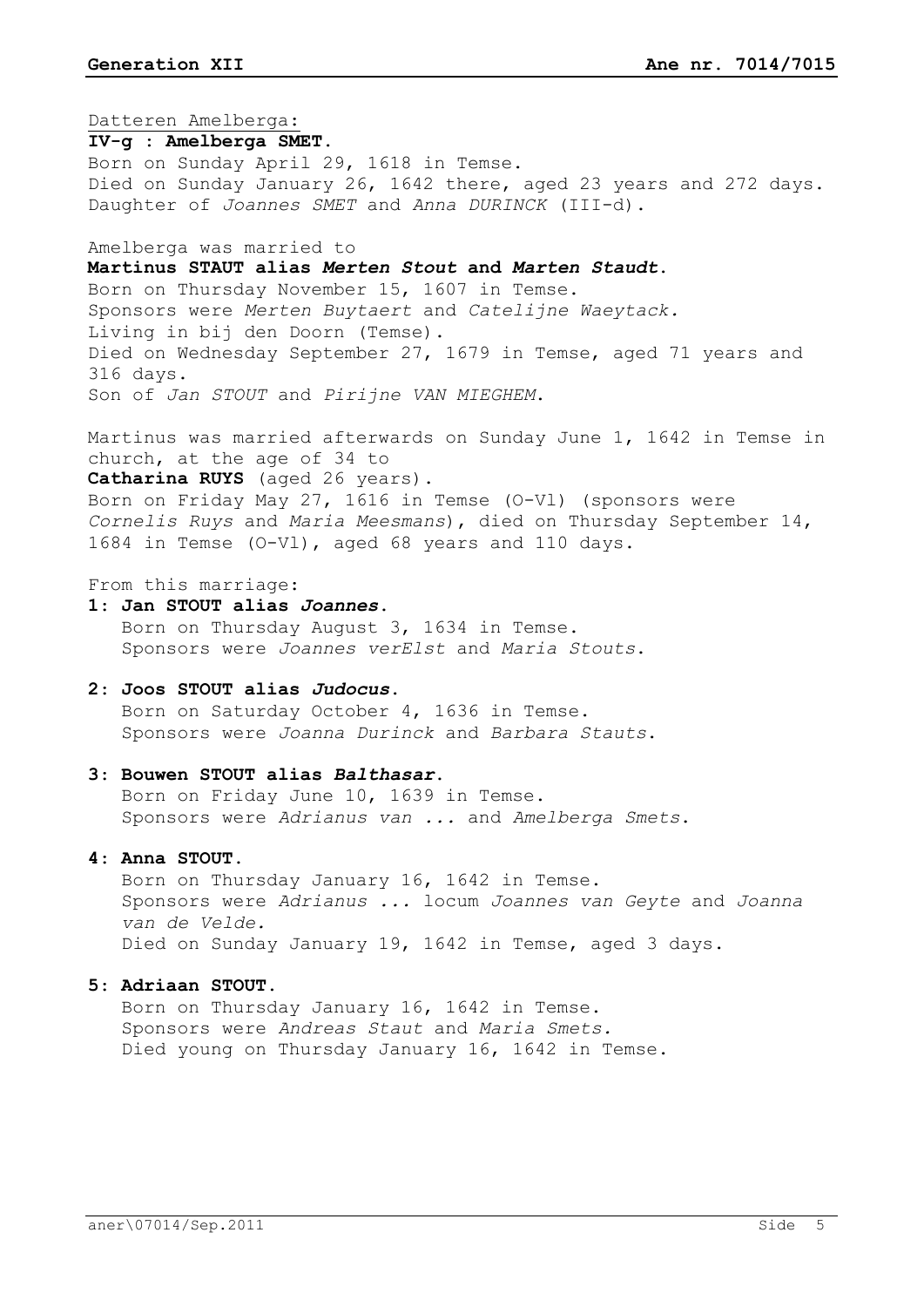Datteren Amelberga: **IV-g** : **Amelberga SMET**. Born on Sunday April 29, 1618 in Temse. Died on Sunday January 26, 1642 there, aged 23 years and 272 days. Daughter of *Joannes SMET* and *Anna DURINCK* (III-d). Amelberga was married to **Martinus STAUT alias** *Merten Stout* **and** *Marten Staudt*. Born on Thursday November 15, 1607 in Temse. Sponsors were *Merten Buytaert* and *Catelijne Waeytack.* Living in bij den Doorn (Temse). Died on Wednesday September 27, 1679 in Temse, aged 71 years and 316 days. Son of *Jan STOUT* and *Pirijne VAN MIEGHEM*. Martinus was married afterwards on Sunday June 1, 1642 in Temse in church, at the age of 34 to **Catharina RUYS** (aged 26 years). Born on Friday May 27, 1616 in Temse (O-Vl) (sponsors were *Cornelis Ruys* and *Maria Meesmans*), died on Thursday September 14,

From this marriage:

**1**: **Jan STOUT alias** *Joannes*. Born on Thursday August 3, 1634 in Temse. Sponsors were *Joannes verElst* and *Maria Stouts*.

1684 in Temse (O-Vl), aged 68 years and 110 days.

# **2**: **Joos STOUT alias** *Judocus*.

 Born on Saturday October 4, 1636 in Temse. Sponsors were *Joanna Durinck* and *Barbara Stauts*.

## **3**: **Bouwen STOUT alias** *Balthasar*.

 Born on Friday June 10, 1639 in Temse. Sponsors were *Adrianus van ...* and *Amelberga Smets*.

#### **4**: **Anna STOUT**.

 Born on Thursday January 16, 1642 in Temse. Sponsors were *Adrianus ...* locum *Joannes van Geyte* and *Joanna van de Velde.* Died on Sunday January 19, 1642 in Temse, aged 3 days.

## **5**: **Adriaan STOUT**.

 Born on Thursday January 16, 1642 in Temse. Sponsors were *Andreas Staut* and *Maria Smets.* Died young on Thursday January 16, 1642 in Temse.